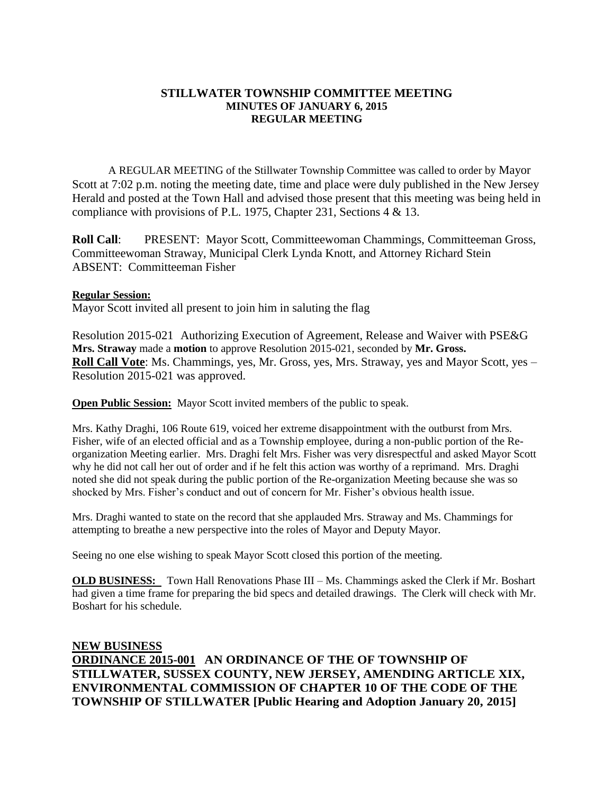## **STILLWATER TOWNSHIP COMMITTEE MEETING MINUTES OF JANUARY 6, 2015 REGULAR MEETING**

A REGULAR MEETING of the Stillwater Township Committee was called to order by Mayor Scott at 7:02 p.m. noting the meeting date, time and place were duly published in the New Jersey Herald and posted at the Town Hall and advised those present that this meeting was being held in compliance with provisions of P.L. 1975, Chapter 231, Sections 4 & 13.

**Roll Call**: PRESENT: Mayor Scott, Committeewoman Chammings, Committeeman Gross, Committeewoman Straway, Municipal Clerk Lynda Knott, and Attorney Richard Stein ABSENT: Committeeman Fisher

## **Regular Session:**

Mayor Scott invited all present to join him in saluting the flag

Resolution 2015-021 Authorizing Execution of Agreement, Release and Waiver with PSE&G **Mrs. Straway** made a **motion** to approve Resolution 2015-021, seconded by **Mr. Gross. Roll Call Vote**: Ms. Chammings, yes, Mr. Gross, yes, Mrs. Straway, yes and Mayor Scott, yes – Resolution 2015-021 was approved.

**Open Public Session:** Mayor Scott invited members of the public to speak.

Mrs. Kathy Draghi, 106 Route 619, voiced her extreme disappointment with the outburst from Mrs. Fisher, wife of an elected official and as a Township employee, during a non-public portion of the Reorganization Meeting earlier. Mrs. Draghi felt Mrs. Fisher was very disrespectful and asked Mayor Scott why he did not call her out of order and if he felt this action was worthy of a reprimand. Mrs. Draghi noted she did not speak during the public portion of the Re-organization Meeting because she was so shocked by Mrs. Fisher's conduct and out of concern for Mr. Fisher's obvious health issue.

Mrs. Draghi wanted to state on the record that she applauded Mrs. Straway and Ms. Chammings for attempting to breathe a new perspective into the roles of Mayor and Deputy Mayor.

Seeing no one else wishing to speak Mayor Scott closed this portion of the meeting.

**OLD BUSINESS:** Town Hall Renovations Phase III – Ms. Chammings asked the Clerk if Mr. Boshart had given a time frame for preparing the bid specs and detailed drawings. The Clerk will check with Mr. Boshart for his schedule.

**NEW BUSINESS ORDINANCE 2015-001 AN ORDINANCE OF THE OF TOWNSHIP OF STILLWATER, SUSSEX COUNTY, NEW JERSEY, AMENDING ARTICLE XIX, ENVIRONMENTAL COMMISSION OF CHAPTER 10 OF THE CODE OF THE TOWNSHIP OF STILLWATER [Public Hearing and Adoption January 20, 2015]**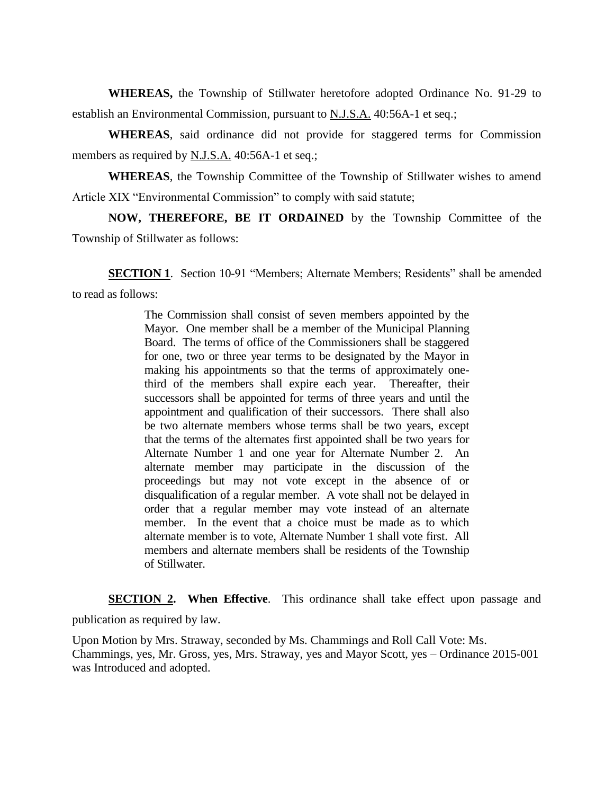**WHEREAS,** the Township of Stillwater heretofore adopted Ordinance No. 91-29 to establish an Environmental Commission, pursuant to N.J.S.A. 40:56A-1 et seq.;

**WHEREAS**, said ordinance did not provide for staggered terms for Commission members as required by N.J.S.A. 40:56A-1 et seq.;

**WHEREAS**, the Township Committee of the Township of Stillwater wishes to amend Article XIX "Environmental Commission" to comply with said statute;

**NOW, THEREFORE, BE IT ORDAINED** by the Township Committee of the Township of Stillwater as follows:

**SECTION 1.** Section 10-91 "Members; Alternate Members; Residents" shall be amended to read as follows:

> The Commission shall consist of seven members appointed by the Mayor. One member shall be a member of the Municipal Planning Board. The terms of office of the Commissioners shall be staggered for one, two or three year terms to be designated by the Mayor in making his appointments so that the terms of approximately onethird of the members shall expire each year. Thereafter, their successors shall be appointed for terms of three years and until the appointment and qualification of their successors. There shall also be two alternate members whose terms shall be two years, except that the terms of the alternates first appointed shall be two years for Alternate Number 1 and one year for Alternate Number 2. An alternate member may participate in the discussion of the proceedings but may not vote except in the absence of or disqualification of a regular member. A vote shall not be delayed in order that a regular member may vote instead of an alternate member. In the event that a choice must be made as to which alternate member is to vote, Alternate Number 1 shall vote first. All members and alternate members shall be residents of the Township of Stillwater.

**SECTION 2.** When Effective. This ordinance shall take effect upon passage and publication as required by law.

Upon Motion by Mrs. Straway, seconded by Ms. Chammings and Roll Call Vote: Ms. Chammings, yes, Mr. Gross, yes, Mrs. Straway, yes and Mayor Scott, yes – Ordinance 2015-001 was Introduced and adopted.